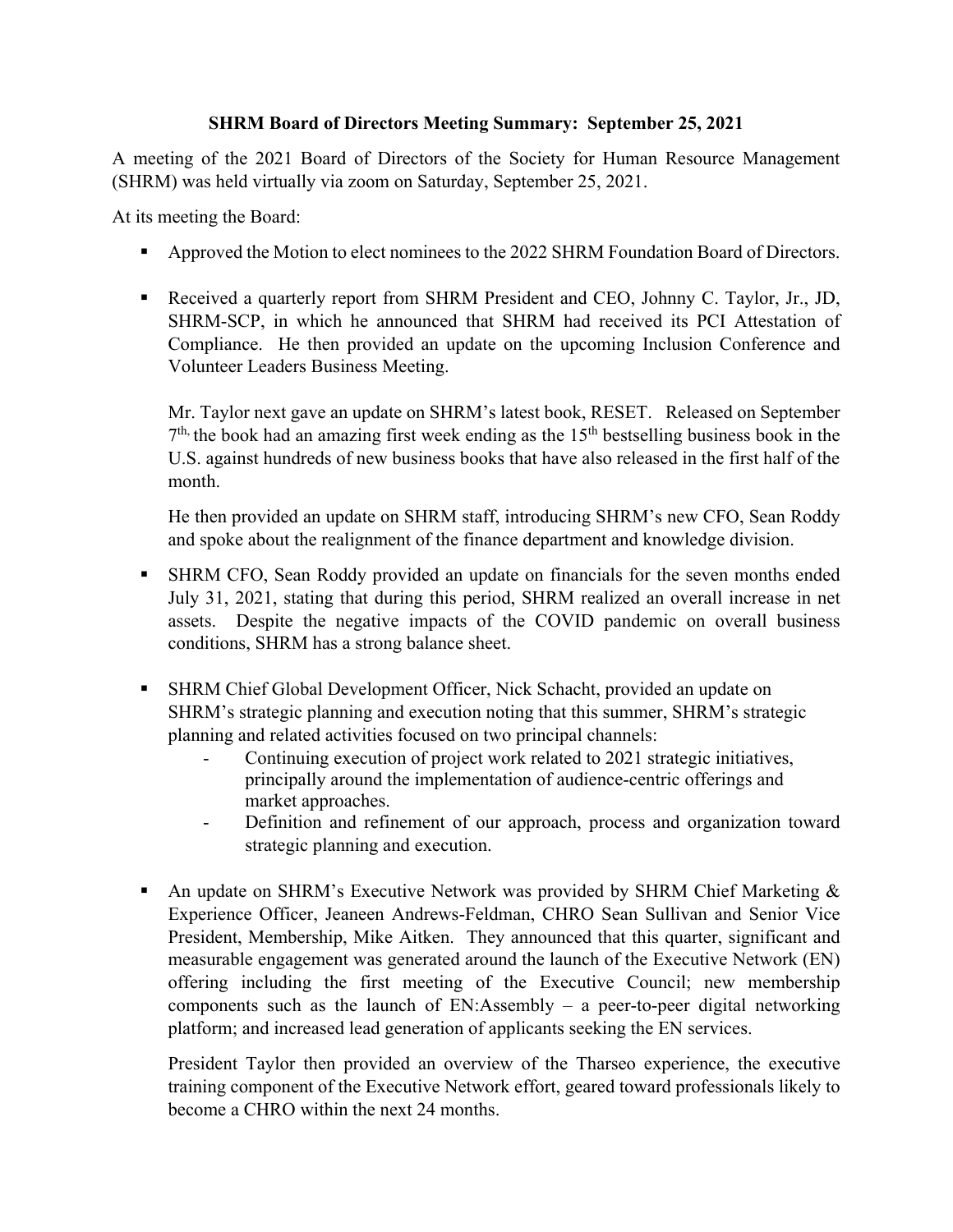## **SHRM Board of Directors Meeting Summary: September 25, 2021**

A meeting of the 2021 Board of Directors of the Society for Human Resource Management (SHRM) was held virtually via zoom on Saturday, September 25, 2021.

At its meeting the Board:

- Approved the Motion to elect nominees to the 2022 SHRM Foundation Board of Directors.
- Received a quarterly report from SHRM President and CEO, Johnny C. Taylor, Jr., JD, SHRM-SCP, in which he announced that SHRM had received its PCI Attestation of Compliance. He then provided an update on the upcoming Inclusion Conference and Volunteer Leaders Business Meeting.

Mr. Taylor next gave an update on SHRM's latest book, RESET. Released on September  $7<sup>th</sup>$ , the book had an amazing first week ending as the  $15<sup>th</sup>$  bestselling business book in the U.S. against hundreds of new business books that have also released in the first half of the month.

He then provided an update on SHRM staff, introducing SHRM's new CFO, Sean Roddy and spoke about the realignment of the finance department and knowledge division.

- SHRM CFO, Sean Roddy provided an update on financials for the seven months ended July 31, 2021, stating that during this period, SHRM realized an overall increase in net assets. Despite the negative impacts of the COVID pandemic on overall business conditions, SHRM has a strong balance sheet.
- SHRM Chief Global Development Officer, Nick Schacht, provided an update on SHRM's strategic planning and execution noting that this summer, SHRM's strategic planning and related activities focused on two principal channels:
	- Continuing execution of project work related to 2021 strategic initiatives, principally around the implementation of audience-centric offerings and market approaches.
	- Definition and refinement of our approach, process and organization toward strategic planning and execution.
- An update on SHRM's Executive Network was provided by SHRM Chief Marketing & Experience Officer, Jeaneen Andrews-Feldman, CHRO Sean Sullivan and Senior Vice President, Membership, Mike Aitken. They announced that this quarter, significant and measurable engagement was generated around the launch of the Executive Network (EN) offering including the first meeting of the Executive Council; new membership components such as the launch of EN:Assembly – a peer-to-peer digital networking platform; and increased lead generation of applicants seeking the EN services.

President Taylor then provided an overview of the Tharseo experience, the executive training component of the Executive Network effort, geared toward professionals likely to become a CHRO within the next 24 months.